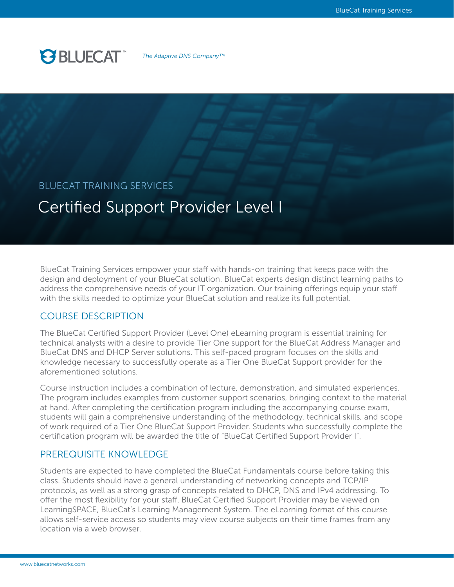# **PS BLUECAT**

*The Adaptive DNS Company™*

## BLUECAT TRAINING SERVICES

## Certified Support Provider Level I

BlueCat Training Services empower your staff with hands-on training that keeps pace with the design and deployment of your BlueCat solution. BlueCat experts design distinct learning paths to address the comprehensive needs of your IT organization. Our training offerings equip your staff with the skills needed to optimize your BlueCat solution and realize its full potential.

## COURSE DESCRIPTION

The BlueCat Certified Support Provider (Level One) eLearning program is essential training for technical analysts with a desire to provide Tier One support for the BlueCat Address Manager and BlueCat DNS and DHCP Server solutions. This self-paced program focuses on the skills and knowledge necessary to successfully operate as a Tier One BlueCat Support provider for the aforementioned solutions.

Course instruction includes a combination of lecture, demonstration, and simulated experiences. The program includes examples from customer support scenarios, bringing context to the material at hand. After completing the certification program including the accompanying course exam, students will gain a comprehensive understanding of the methodology, technical skills, and scope of work required of a Tier One BlueCat Support Provider. Students who successfully complete the certification program will be awarded the title of "BlueCat Certified Support Provider I".

### PREREQUISITE KNOWLEDGE

Students are expected to have completed the BlueCat Fundamentals course before taking this class. Students should have a general understanding of networking concepts and TCP/IP protocols, as well as a strong grasp of concepts related to DHCP, DNS and IPv4 addressing. To offer the most flexibility for your staff, BlueCat Certified Support Provider may be viewed on LearningSPACE, BlueCat's Learning Management System. The eLearning format of this course allows self-service access so students may view course subjects on their time frames from any location via a web browser.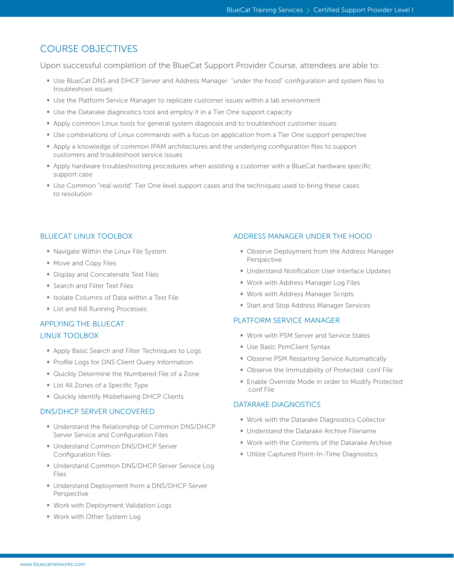## COURSE OBJECTIVES

Upon successful completion of the BlueCat Support Provider Course, attendees are able to:

- § Use BlueCat DNS and DHCP Server and Address Manager "under the hood" configuration and system files to troubleshoot issues
- **Use the Platform Service Manager to replicate customer issues within a lab environment**
- **Use the Datarake diagnostics tool and employ it in a Tier One support capacity**
- § Apply common Linux tools for general system diagnosis and to troubleshoot customer issues
- Use combinations of Linux commands with a focus on application from a Tier One support perspective
- § Apply a knowledge of common IPAM architectures and the underlying configuration files to support customers and troubleshoot service issues
- § Apply hardware troubleshooting procedures when assisting a customer with a BlueCat hardware specific support case
- Use Common "real world" Tier One level support cases and the techniques used to bring these cases to resolution

#### BLUECAT LINUX TOOLBOX

- § Navigate Within the Linux File System
- Move and Copy Files
- **Display and Concatenate Text Files**
- **Search and Filter Text Files**
- Isolate Columns of Data within a Text File
- List and Kill Running Processes

### APPLYING THE BLUECAT

#### LINUX TOOLBOX

- Apply Basic Search and Filter Techniques to Logs
- **Profile Logs for DNS Client Query Information**
- § Quickly Determine the Numbered File of a Zone
- List All Zones of a Specific Type
- **Quickly Identify Misbehaving DHCP Clients**

#### DNS/DHCP SERVER UNCOVERED

- Understand the Relationship of Common DNS/DHCP Server Service and Configuration Files
- Understand Common DNS/DHCP Server Configuration Files
- Understand Common DNS/DHCP Server Service Log Files
- Understand Deployment from a DNS/DHCP Server Perspective
- § Work with Deployment Validation Logs
- § Work with Other System Log

#### ADDRESS MANAGER UNDER THE HOOD

- **Observe Deployment from the Address Manager** Perspective
- Understand Notification User Interface Updates
- § Work with Address Manager Log Files
- Work with Address Manager Scripts
- Start and Stop Address Manager Services

#### PLATFORM SERVICE MANAGER

- Work with PSM Server and Service States
- § Use Basic PsmClient Syntax
- Observe PSM Restarting Service Automatically
- § Observe the Immutability of Protected .conf File
- Enable Override Mode in order to Modify Protected .conf File

#### DATARAKE DIAGNOSTICS

- Work with the Datarake Diagnostics Collector
- Understand the Datarake Archive Filename
- Work with the Contents of the Datarake Archive
- Utilize Captured Point-In-Time Diagnostics